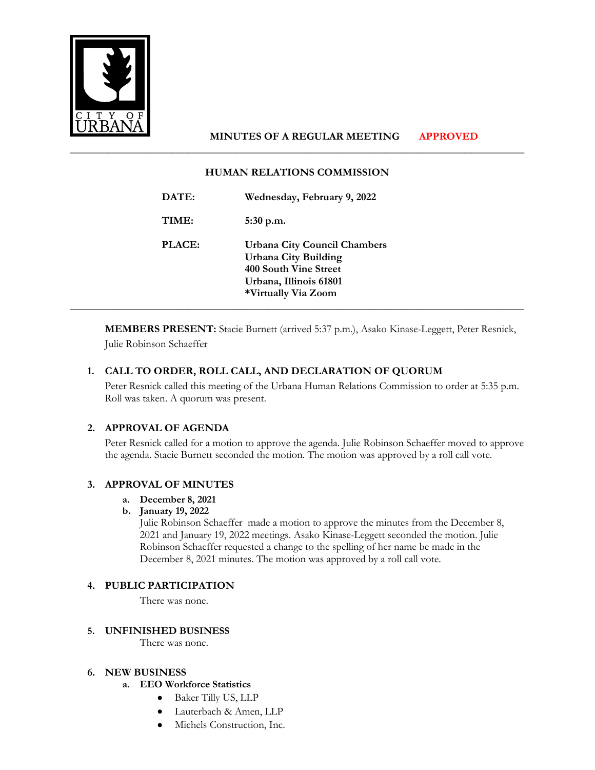

# **MINUTES OF A REGULAR MEETING APPROVED**

### **HUMAN RELATIONS COMMISSION**

\_\_\_\_\_\_\_\_\_\_\_\_\_\_\_\_\_\_\_\_\_\_\_\_\_\_\_\_\_\_\_\_\_\_\_\_\_\_\_\_\_\_\_\_\_\_\_\_\_\_\_\_\_\_\_\_\_\_\_\_\_\_\_\_\_\_\_\_\_\_\_\_\_\_\_\_\_\_\_\_\_\_\_\_\_

| DATE:         | Wednesday, February 9, 2022                                                                                                                  |
|---------------|----------------------------------------------------------------------------------------------------------------------------------------------|
| TIME:         | $5:30$ p.m.                                                                                                                                  |
| <b>PLACE:</b> | <b>Urbana City Council Chambers</b><br><b>Urbana City Building</b><br>400 South Vine Street<br>Urbana, Illinois 61801<br>*Virtually Via Zoom |

**MEMBERS PRESENT:** Stacie Burnett (arrived 5:37 p.m.), Asako Kinase-Leggett, Peter Resnick, Julie Robinson Schaeffer

# **1. CALL TO ORDER, ROLL CALL, AND DECLARATION OF QUORUM**

Peter Resnick called this meeting of the Urbana Human Relations Commission to order at 5:35 p.m. Roll was taken. A quorum was present.

## **2. APPROVAL OF AGENDA**

Peter Resnick called for a motion to approve the agenda. Julie Robinson Schaeffer moved to approve the agenda. Stacie Burnett seconded the motion. The motion was approved by a roll call vote.

## **3. APPROVAL OF MINUTES**

- **a. December 8, 2021**
- **b. January 19, 2022**

Julie Robinson Schaeffer made a motion to approve the minutes from the December 8, 2021 and January 19, 2022 meetings. Asako Kinase-Leggett seconded the motion. Julie Robinson Schaeffer requested a change to the spelling of her name be made in the December 8, 2021 minutes. The motion was approved by a roll call vote.

## **4. PUBLIC PARTICIPATION**

There was none.

## **5. UNFINISHED BUSINESS**

There was none.

#### **6. NEW BUSINESS**

- **a. EEO Workforce Statistics** 
	- Baker Tilly US, LLP
	- Lauterbach & Amen, LLP
	- Michels Construction, Inc.